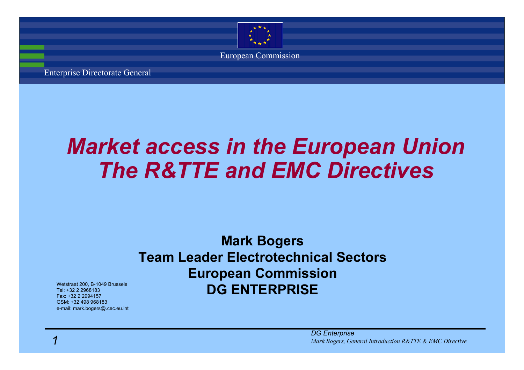

nterprise Directorate General

# *Market access in the European Union The R&TTE and EMC Directives*

### **Mark Bogers Team Leader Electrotechnical SectorsEuropean Commission DG ENTERPRISE**

*DG Enterprise 1Mark Bogers, General Introduction R&TTE & EMC Directive*

Wetstraat 200, B-1049 Brussels Tel: +32 2 2968183Fax: +32 2 2994157GSM: +32 498 968183e-mail: mark.bogers@.cec.eu.int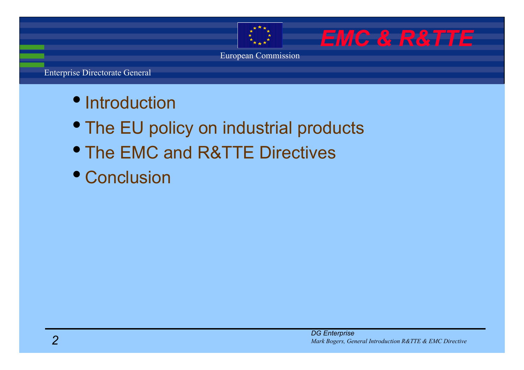

*EMC & R&TTE*

European Commission

- Introduction
- The EU policy on industrial products
- The EMC and R&TTE Directives
- Conclusion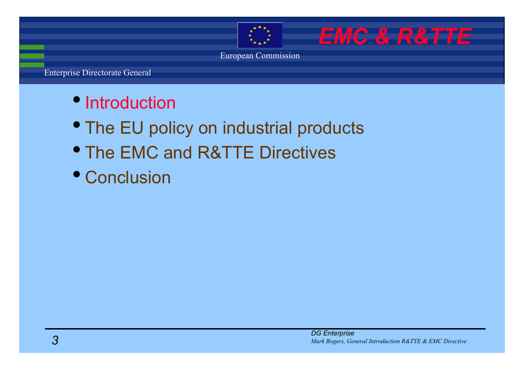

*EMC & R&TTE*

European Commission

- Introduction
- The EU policy on industrial products
- The EMC and R&TTE Directives
- Conclusion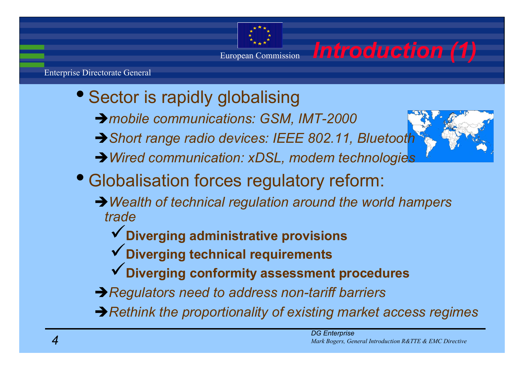## European Commission *Introduction (1)*

- Sector is rapidly globalising
	- Î*mobile communications: GSM, IMT-2000*
	- Î*Short range radio devices: IEEE 802.11, Bluetooth*
	- Î*Wired communication: xDSL, modem technologies*
- Globalisation forces regulatory reform:
	- → Wealth of technical regulation around the world hampers *trade*
		- 9**Diverging administrative provisions**
		- 9**Diverging technical requirements**
		- 9**Diverging conformity assessment procedures**
	- **→ Regulators need to address non-tariff barriers**
	- → Rethink the proportionality of existing market access regimes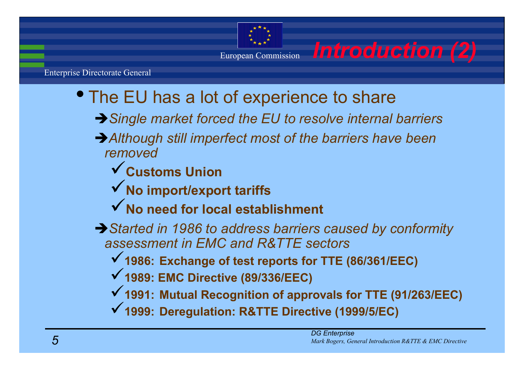

- The EU has a lot of experience to share
	- Î*Single market forced the EU to resolve internal barriers*
	- **→ Although still imperfect most of the barriers have been** *removed*
		- 9**Customs Union**
		- 9**No import/export tariffs**
		- 9**No need for local establishment**
	- **→ Started in 1986 to address barriers caused by conformity** *assessment in EMC and R&TTE sectors*
		- 9**1986: Exchange of test reports for TTE (86/361/EEC)**
		- 9**1989: EMC Directive (89/336/EEC)**
		- 9**1991: Mutual Recognition of approvals for TTE (91/263/EEC)**
		- 9**1999: Deregulation: R&TTE Directive (1999/5/EC)**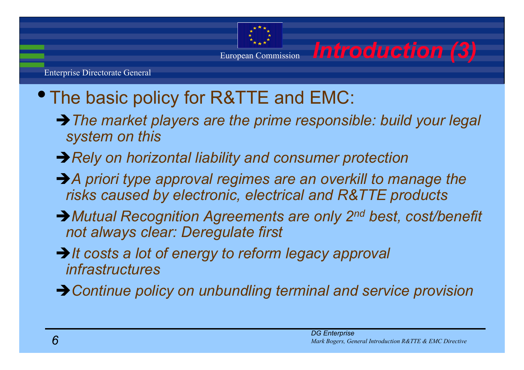

# The basic policy for R&TTE and EMC:

- Î*The market players are the prime responsible: build your legal system on this*
- **→ Rely on horizontal liability and consumer protection**
- → A priori type approval regimes are an overkill to manage the *risks caused by electronic, electrical and R&TTE products*
- → Mutual Recognition Agreements are only 2<sup>nd</sup> best, cost/benet *not always clear: Deregulate first*
- → *It costs a lot of energy to reform legacy approval infrastructures*
- **→ Continue policy on unbundling terminal and service provision**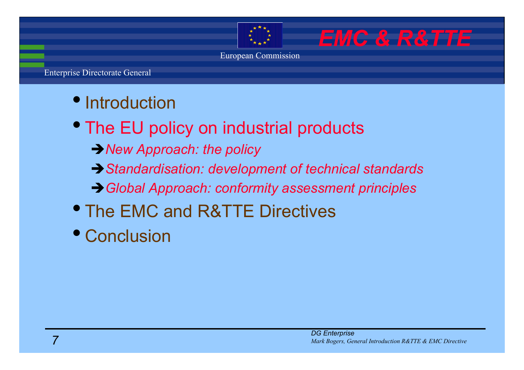- Introduction
- The EU policy on industrial products
	- **→ New Approach: the policy**
	- Î*Standardisation: development of technical standards*
	- Î*Global Approach: conformity assessment principles*
- The EMC and R&TTE Directives
- Conclusion

*EMC & R&TTE*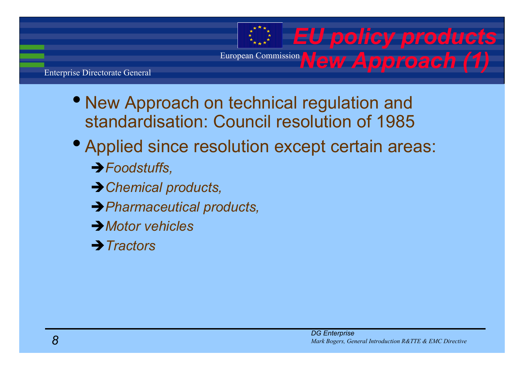European Commission **New Approach** (1

nterprise Directorate General

- New Approach on technical regulation and standardisation: Council resolution of 1985
- Applied since resolution except certain areas:
	- Î*Foodstuffs,*
	- **→ Chemical products,**
	- Î*Pharmaceutical products,*
	- Î*Motor vehicles*
	- **→ Tractors**

**EU policy product**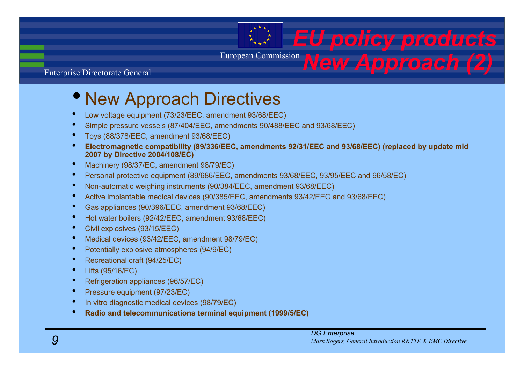European Commission *New Approach (2)*

### nterprise Directorate General

## • New Approach Directives

- •Low voltage equipment (73/23/EEC, amendment 93/68/EEC)
- •Simple pressure vessels (87/404/EEC, amendments 90/488/EEC and 93/68/EEC)
- •Toys (88/378/EEC, amendment 93/68/EEC)
- • **Electromagnetic compatibility (89/336/EEC, amendments 92/31/EEC and 93/68/EEC) (replaced by update mid 2007 by Directive 2004/108/EC)**
- •Machinery (98/37/EC, amendment 98/79/EC)
- •Personal protective equipment (89/686/EEC, amendments 93/68/EEC, 93/95/EEC and 96/58/EC)
- •Non-automatic weighing instruments (90/384/EEC, amendment 93/68/EEC)
- •Active implantable medical devices (90/385/EEC, amendments 93/42/EEC and 93/68/EEC)
- •Gas appliances (90/396/EEC, amendment 93/68/EEC)
- •Hot water boilers (92/42/EEC, amendment 93/68/EEC)
- •Civil explosives (93/15/EEC)
- •Medical devices (93/42/EEC, amendment 98/79/EC)
- •Potentially explosive atmospheres (94/9/EC)
- •Recreational craft (94/25/EC)
- •Lifts (95/16/EC)
- •Refrigeration appliances (96/57/EC)
- •Pressure equipment (97/23/EC)
- •In vitro diagnostic medical devices (98/79/EC)
- •**Radio and telecommunications terminal equipment (1999/5/EC)**

**EU policy product**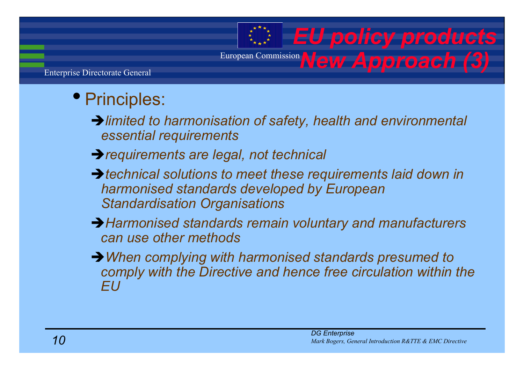## European Commission **New Approach** (3)

nterprise Directorate General

## • Principles:

 $\rightarrow$  limited to harmonisation of safety, health and environmental *essential requirements*

- Î*requirements are legal, not technical*
- ↑ technical solutions to meet these requirements laid down in *harmonised standards developed by European Standardisation Organisations*
- **→ Harmonised standards remain voluntary and manufacturers** *can use other methods*
- → When complying with harmonised standards presumed to comply with the Directive and hence free circulation within the *EU*

**EU policy product**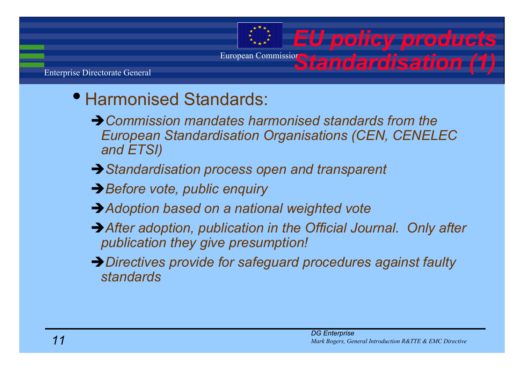# **European Commission Standardisation (**

nterprise Directorate General

## • Harmonised Standards:

- **→ Commission mandates harmonised standards from the** *European Standardisation Organisations (CEN, CENELEC and ETSI)*
- **→ Standardisation process open and transparent**
- **→ Before vote, public enquiry**
- **→ Adoption based on a national weighted vote**
- **→ After adoption, publication in the Official Journal. Only after** *publication they give presumption!*
- Î*Directives provide for safeguard procedures against faulty standards*

*EU policy products*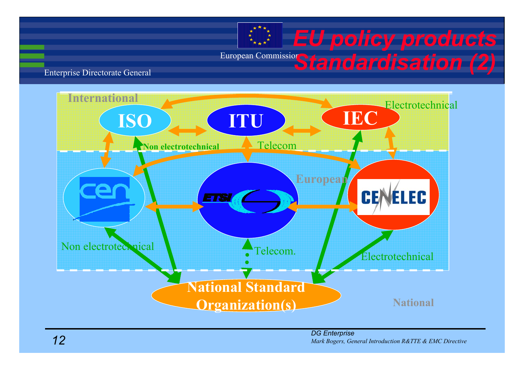# **European Commission Standardisation (2) EU policy product**

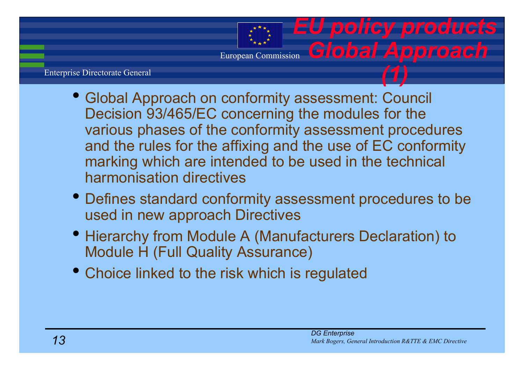### nterprise Directorate General

- Global Approach on conformity assessment: Council Decision 93/465/EC concerning the modules for the various phases of the conformity assessment procedures and the rules for the affixing and the use of EC conformity marking which are intended to be used in the technical harmonisation directives
- Defines standard conformity assessment procedures to be used in new approach Directives
- Hierarchy from Module A (Manufacturers Declaration) to Module H (Full Quality Assurance)
- Choice linked to the risk which is regulated

*EU policy products*

*Global Approac* 

*(1)*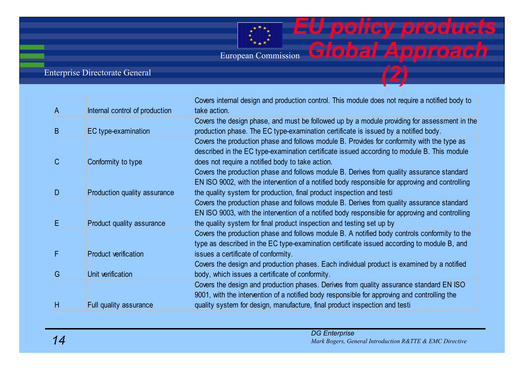### nterprise Directorate General

| A            | Internal control of production | Covers internal design and production control. This module does not require a notified body to<br>take action.                                                                                                                                   |
|--------------|--------------------------------|--------------------------------------------------------------------------------------------------------------------------------------------------------------------------------------------------------------------------------------------------|
| B            | EC type-examination            | Covers the design phase, and must be followed up by a module providing for assessment in the<br>production phase. The EC type-examination certificate is issued by a notified body.                                                              |
|              |                                | Covers the production phase and follows module B. Provides for conformity with the type as<br>described in the EC type-examination certificate issued according to module B. This module                                                         |
| $\mathsf{C}$ | Conformity to type             | does not require a notified body to take action.<br>Covers the production phase and follows module B. Derives from quality assurance standard<br>EN ISO 9002, with the intervention of a notified body responsible for approving and controlling |
| D            | Production quality assurance   | the quality system for production, final product inspection and testi<br>Covers the production phase and follows module B. Derives from quality assurance standard                                                                               |
| Е            | Product quality assurance      | EN ISO 9003, with the intervention of a notified body responsible for approving and controlling<br>the quality system for final product inspection and testing set up by                                                                         |
| F            | <b>Product verification</b>    | Covers the production phase and follows module B. A notified body controls conformity to the<br>type as described in the EC type-examination certificate issued according to module B, and<br>issues a certificate of conformity.                |
| G            | Unit verification              | Covers the design and production phases. Each individual product is examined by a notified<br>body, which issues a certificate of conformity.                                                                                                    |
|              |                                | Covers the design and production phases. Derives from quality assurance standard EN ISO<br>9001, with the intervention of a notified body responsible for approving and controlling the                                                          |
| H            | Full quality assurance         | quality system for design, manufacture, final product inspection and testi                                                                                                                                                                       |

*EU policy produc* 

*Global Approac* 

*(2)*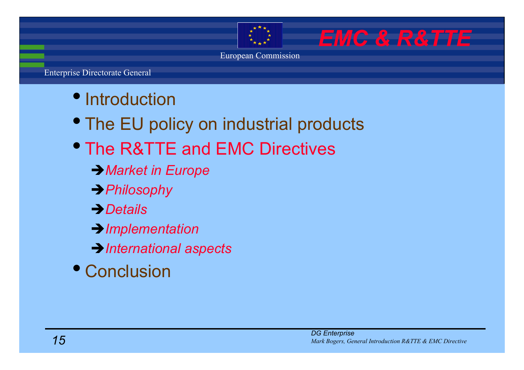*EMC & R&TTE*

European Commission

- Introduction
- The EU policy on industrial products
- The R&TTE and EMC Directives
	- Î*Market in Europe*
	- Î*Philosophy*
	- **→***Details*
	- Î*Implementation*
	- Î*International aspects*
- Conclusion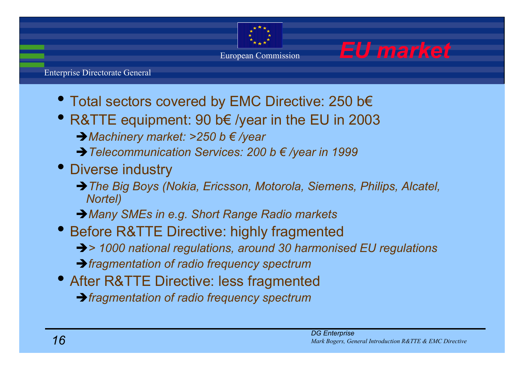

European Commission *EU market*



- Total sectors covered by EMC Directive: 250 b€
- R&TTE equipment: 90 b€ /year in the EU in 2003 Î*Machinery market: >250 b € /year*
	- Î*Telecommunication Services: 200 b € /year in 1999*
- Diverse industry
	- → The Big Boys (Nokia, Ericsson, Motorola, Siemens, Philips, Alcatel, *Nortel)*
	- Î*Many SMEs in e.g. Short Range Radio markets*
- Before R&TTE Directive: highly fragmented → 1000 national regulations, around 30 harmonised EU regulations Î*fragmentation of radio frequency spectrum*
- After R&TTE Directive: less fragmented Î*fragmentation of radio frequency spectrum*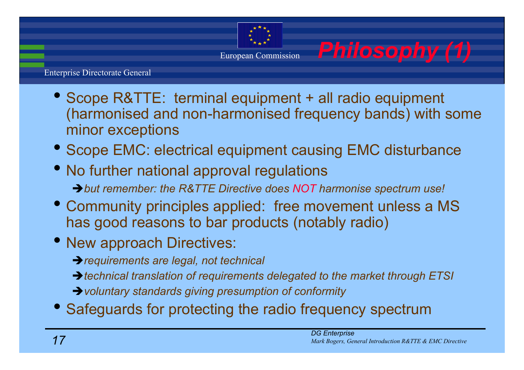

- Scope R&TTE: terminal equipment + all radio equipment (harmonised and non-harmonised frequency bands) with some minor exceptions
- Scope EMC: electrical equipment causing EMC disturbance
- No further national approval regulations  $\rightarrow$  but remember: the R&TTE Directive does NOT harmonise spectrum use!
- Community principles applied: free movement unless a MS has good reasons to bar products (notably radio)
- New approach Directives:

Î*requirements are legal, not technical*

→ *technical translation of requirements delegated to the market through ETSI* 

**→** voluntary standards giving presumption of conformity

• Safeguards for protecting the radio frequency spectrum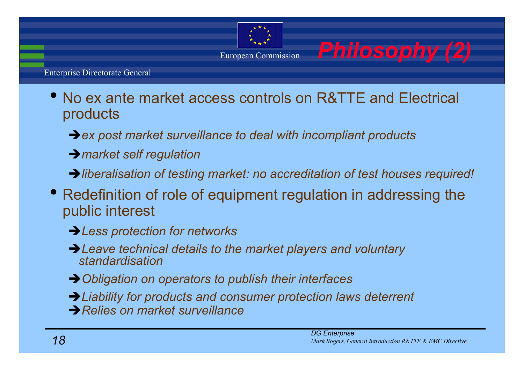

- $\bullet$  No ex ante market access controls on R&TTE and Electrical products
	- **→ ex post market surveillance to deal with incompliant products**
	- Î*market self regulation*
	- *iliberalisation of testing market: no accreditation of test houses required!*
- Redefinition of role of equipment regulation in addressing the public interest
	- **→ Less protection for networks**
	- → Leave technical details to the market players and voluntary *standardisation*
	- **→ Obligation on operators to publish their interfaces**
	- Î*Liability for products and consumer protection laws deterrent* **→ Relies on market surveillance**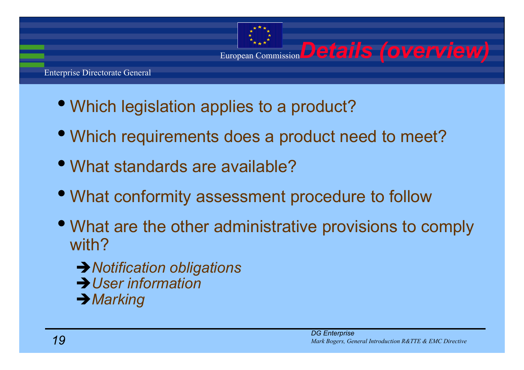

- Which legislation applies to a product?
- Which requirements does a product need to meet?
- What standards are available?
- What conformity assessment procedure to follow
- What are the other administrative provisions to comply with?
	- **→ Notification obligations →** *User information* **→ Marking**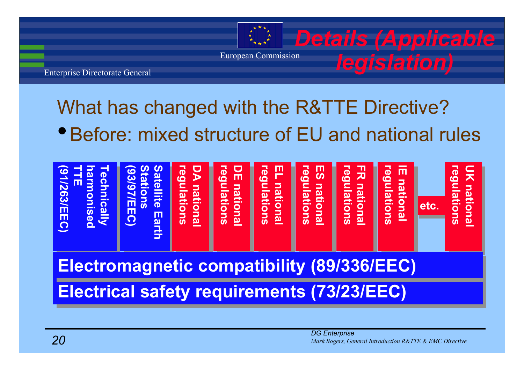

*legislation)*

European Commission

nterprise Directorate General

# What has changed with the R&TTE Directive?

• Before: mixed structure of EU and national rules

**Electrical safety requirements (73/23/EEC) Electromagnetic compatibility (89/336/EEC)**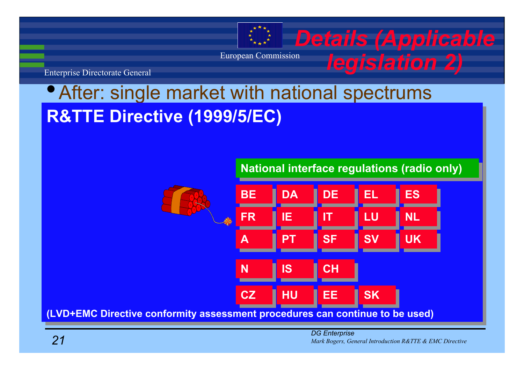

# •After: single market with national spectrums **R&TTE Directive (1999/5/EC) R&TTE Directive (1999/5/EC)**



**(LVD+EMC Directive conformity assessment procedures can continue to be used) (LVD+EMC Directive conformity assessment procedures can continue to be used)**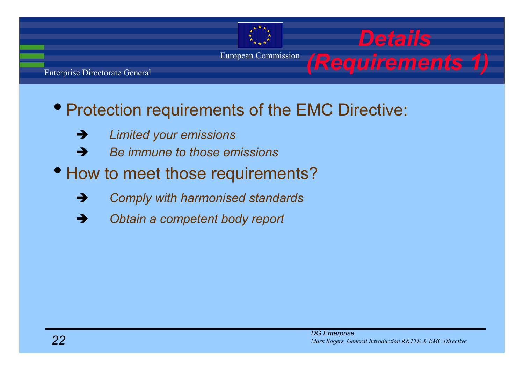

## • Protection requirements of the EMC Directive:

- $\rightarrow$ *Limited your emissions*
- $\rightarrow$ *Be immune to those emissions*
- How to meet those requirements?
	- $\rightarrow$ *Comply with harmonised standards*
	- $\rightarrow$ *Obtain a competent body report*

*Details*

*(Requirements 1)*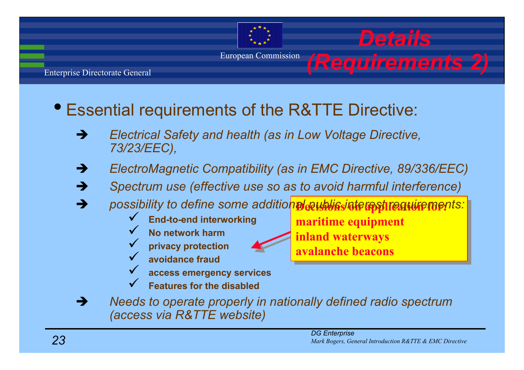

nterprise Directorate General

- Essential requirements of the R&TTE Directive:
	- $\rightarrow$  *Electrical Safety and health (as in Low Voltage Directive, 73/23/EEC),*
	- $\rightarrow$ *ElectroMagnetic Compatibility (as in EMC Directive, 89/336/EEC)*
	- $\rightarrow$ *Spectrum use (effective use so as to avoid harmful interference)*
	- → possibility to define some addition<sup>al</sup> pethylisinterpents:  $\rightarrow$ 
		- 9 **End-to-end interworking**
		- $\checkmark$  **No network harm** $\checkmark$ 
			- **privacy protection**
		- $\checkmark$  **avoidance fraud**  $\checkmark$ 
			- **access emergency services**
		- $\checkmark$ **Features for the disabled**

**inland waterways inland waterways avalanche beaconsavalanche beacons**

**maritime equipment maritime equipment**

 $\rightarrow$  *Needs to operate properly in nationally defined radio spectrum (access via R&TTE website)*

*Details*

*(Requirements 2)*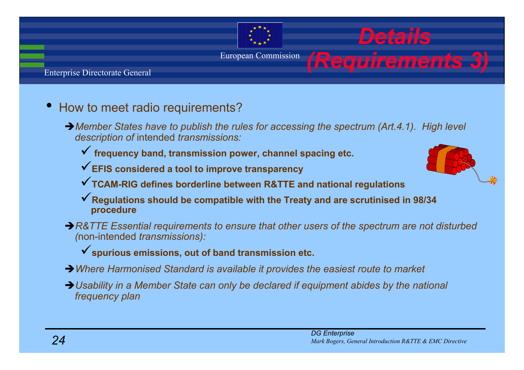### nterprise Directorate General

### •How to meet radio requirements?

- → Member States have to publish the rules for accessing the spectrum (Art.4.1). High level *description of* intended *transmissions:*
	- 9 **frequency band, transmission power, channel spacing etc.**
	- 9**EFIS considered a tool to improve transparency**
	- 9**TCAM-RIG defines borderline between R&TTE and national regulations**
	- 9**Regulations should be compatible with the Treaty and are scrutinised in 98/34 procedure**
- → R&TTE Essential requirements to ensure that other users of the spectrum are not disturbed *(*non-intended *transmissions):* 
	- 9**spurious emissions, out of band transmission etc.**
- → Where Harmonised Standard is available it provides the easiest route to market
- → Usability in a Member State can only be declared if equipment abides by the national *frequency plan*

*Details*

*(Requirements 3)*

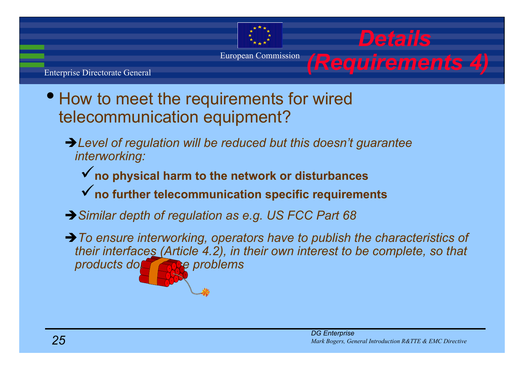

nterprise Directorate General

- • How to meet the requirements for wired telecommunication equipment?
	- → Level of regulation will be reduced but this doesn't guarantee *interworking:*
		- 9**no physical harm to the network or disturbances** 9**no further telecommunication specific requirements**
	- **→ Similar depth of regulation as e.g. US FCC Part 68**
	- → To ensure interworking, operators have to publish the characteristics of *their interfaces (Article 4.2), in their own interest to be complete, so that products don't cause problems*

*Details*

*(Requirements 4)*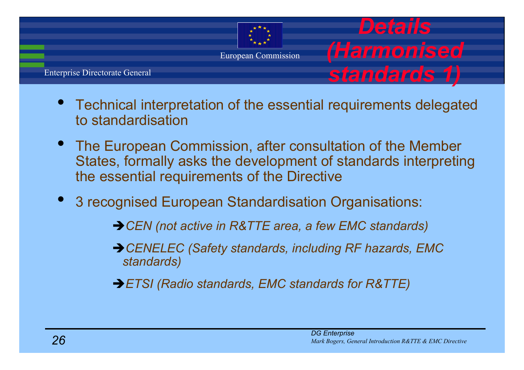

- $\bullet$ Technical interpretation of the essential requirements delegated to standardisation
- The European Commission, after consultation of the Member States, formally asks the development of standards interpreting the essential requirements of the Directive
- $\bullet$  3 recognised European Standardisation Organisations:
	- **→ CEN** (not active in R&TTE area, a few EMC standards)
	- → CENELEC (Safety standards, including RF hazards, EMC *standards)*
	- Î*ETSI (Radio standards, EMC standards for R&TTE)*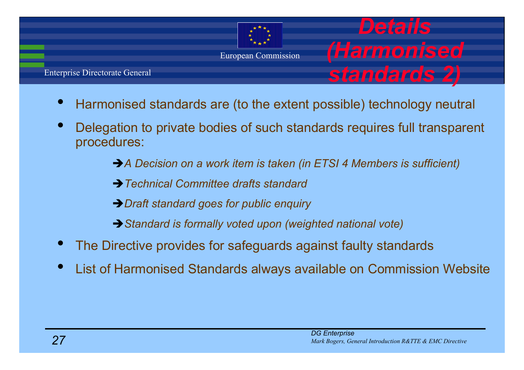

nterprise Directorate General

•

- Harmonised standards are (to the extent possible) technology neutral
- •Delegation to private bodies of such standards requires full transpare procedures:
	- → *A* Decision on a work item is taken (in ETSI 4 Members is sufficient)
	- **→ Technical Committee drafts standard**
	- **→ Draft standard goes for public enquiry**
	- **→ Standard is formally voted upon (weighted national vote)**
- •The Directive provides for safeguards against faulty standards
- •List of Harmonised Standards always available on Commission Webst

*Details* 

*(Harmonised* 

*standards 2)*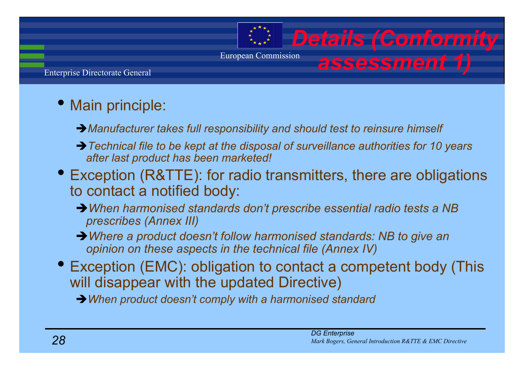# **Details (Conformity** *assessment 1)*

European Commission

nterprise Directorate General

## • Main principle:

- **→ Manufacturer takes full responsibility and should test to reinsure himself**
- → Technical file to be kept at the disposal of surveillance authorities for 10 years *after last product has been marketed!*
- Exception (R&TTE): for radio transmitters, there are obligation to contact a notified body:
	- → When harmonised standards don't prescribe essential radio tests a NB *prescribes (Annex III)*
	- → Where a product doesn't follow harmonised standards: NB to give an *opinion on these aspects in the technical file (Annex IV)*
- Exception (EMC): obligation to contact a competent body (Th will disappear with the updated Directive)

Î*When product doesn't comply with a harmonised standard*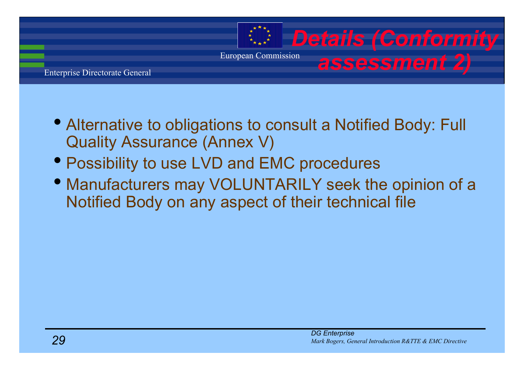

- Alternative to obligations to consult a Notified Body: Full Quality Assurance (Annex V)
- Possibility to use LVD and EMC procedures
- Manufacturers may VOLUNTARILY seek the opinion of a Notified Body on any aspect of their technical file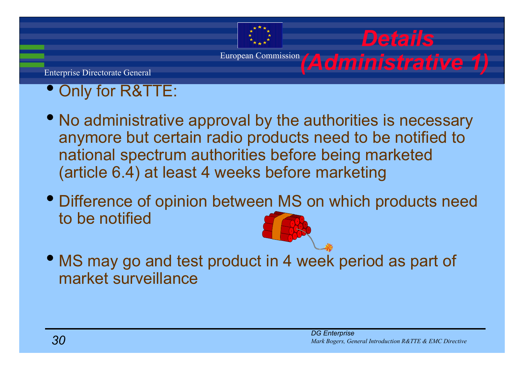# European Commission *(Administrative '*

nterprise Directorate General

### •Only for R&TTE:

- • No administrative approval by the authorities is necessary anymore but certain radio products need to be notified to national spectrum authorities before being marketed (article 6.4) at least 4 weeks before marketing
- • Difference of opinion between MS on which products need to be notified
- • MS may go and test product in 4 week period as part of market surveillance

*Details*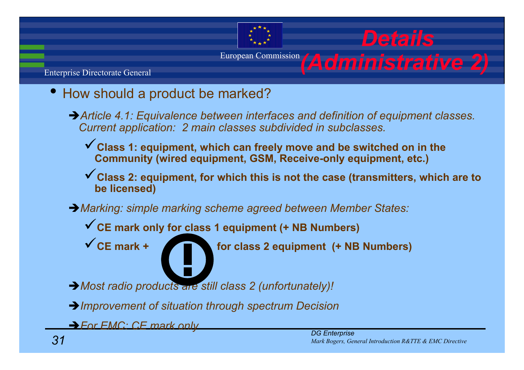

- • How should a product be marked?
	- → Article 4.1: Equivalence between interfaces and definition of equipment classes. *Current application: 2 main classes subdivided in subclasses.*
		- 9**Class 1: equipment, which can freely move and be switched on in the Community (wired equipment, GSM, Receive-only equipment, etc.)**
		- ◆ Class 2: equipment, for which this is not the case (transmitters, which are to **be licensed)**
	- Î*Marking: simple marking scheme agreed between Member States:*
		- 9**CE mark only for class 1 equipment (+ NB Numbers)**



9**CE mark + for class 2 equipment (+ NB Numbers)**

- → Most radio products are still class 2 (unfortunately)!
- Î*Improvement of situation through spectrum Decision*

Î*For EMC: CE mark only*

*Details*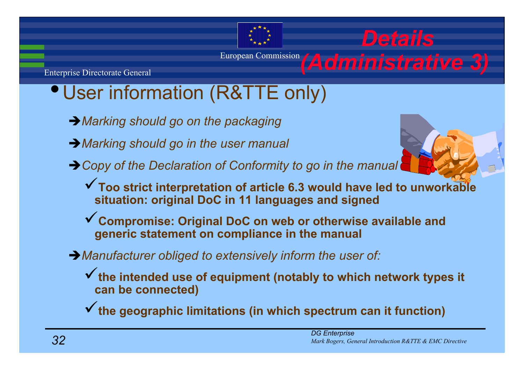# European Commission *(Administrative 3)*

nterprise Directorate General

# •User information (R&TTE only)

- **→ Marking should go on the packaging**
- Î*Marking should go in the user manual*

Î*Copy of the Declaration of Conformity to go in the manual*

- ◆ Too strict interpretation of article 6.3 would have led to unworkable **situation: original DoC in 11 languages and signed**
- 9**Compromise: Original DoC on web or otherwise available and generic statement on compliance in the manual**
- **→ Manufacturer obliged to extensively inform the user of:** 
	- 9**the intended use of equipment (notably to which network types it can be connected)**

9**the geographic limitations (in which spectrum can it function)**

*Details*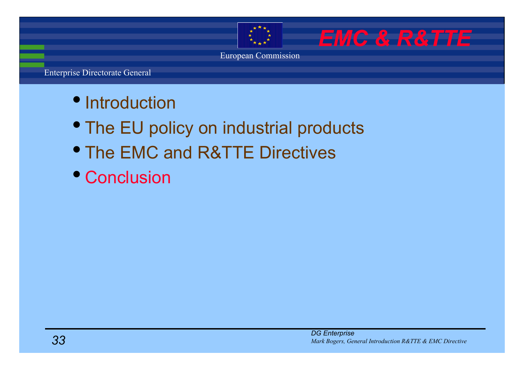

*EMC & R&TTE*

European Commission

- Introduction
- The EU policy on industrial products
- The EMC and R&TTE Directives
- Conclusion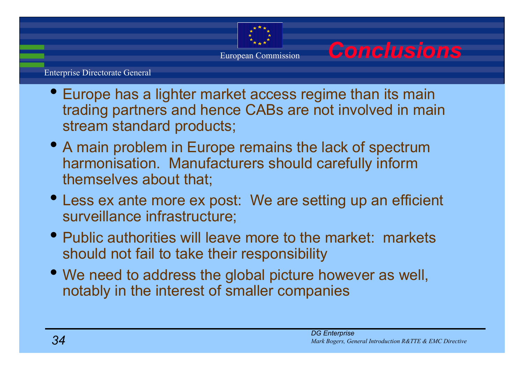

European Commission *Conclusions*

- Europe has a lighter market access regime than its main trading partners and hence CABs are not involved in main stream standard products;
- A main problem in Europe remains the lack of spectrum harmonisation. Manufacturers should carefully inform themselves about that;
- Less ex ante more ex post: We are setting up an efficient surveillance infrastructure;
- Public authorities will leave more to the market: markets should not fail to take their responsibility
- We need to address the global picture however as well, notably in the interest of smaller companies